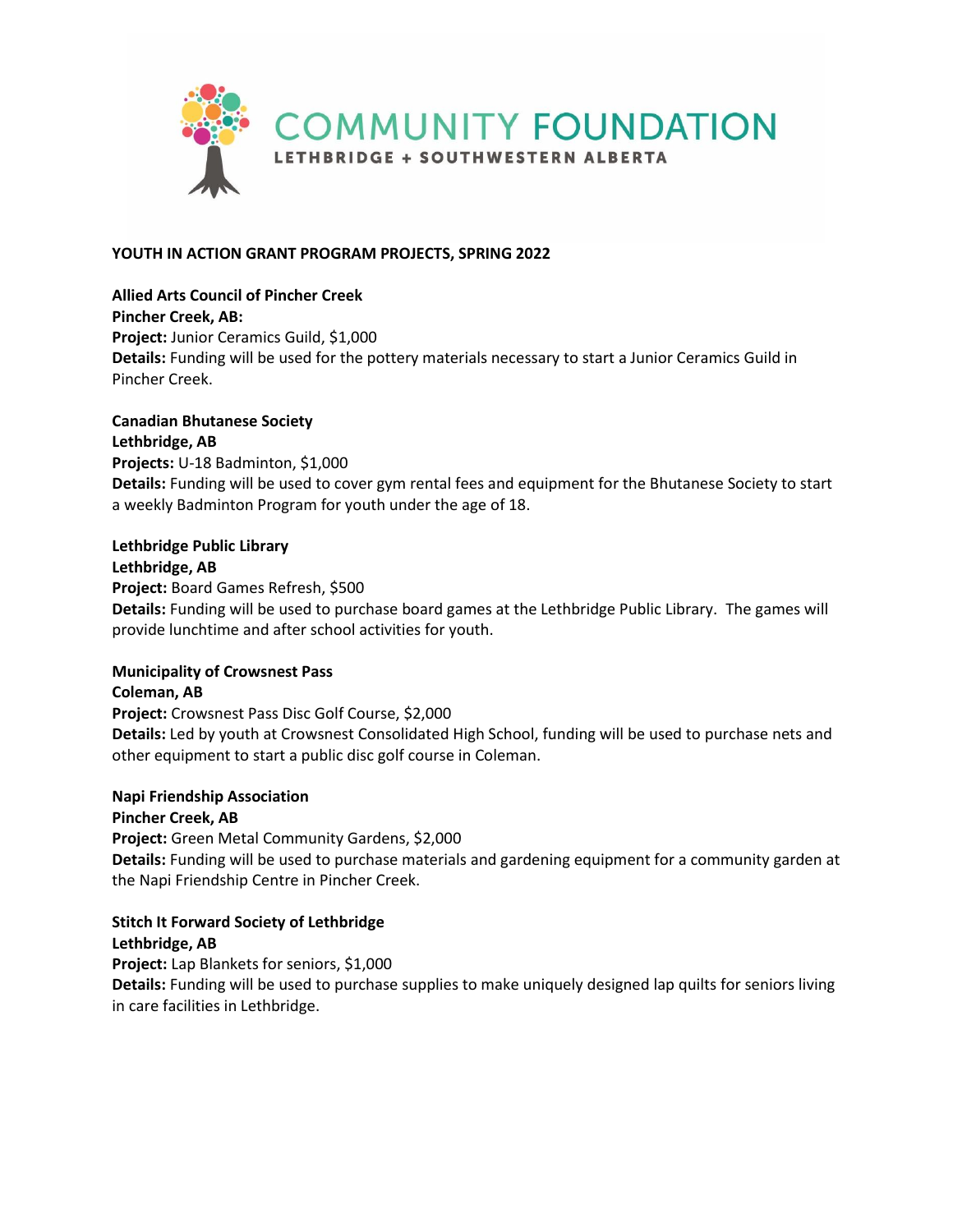

## **YOUTH IN ACTION GRANT PROGRAM PROJECTS, SPRING 2022**

### **Allied Arts Council of Pincher Creek**

**Pincher Creek, AB: Project:** Junior Ceramics Guild, \$1,000 **Details:** Funding will be used for the pottery materials necessary to start a Junior Ceramics Guild in Pincher Creek.

## **Canadian Bhutanese Society**

**Lethbridge, AB Projects:** U-18 Badminton, \$1,000 **Details:** Funding will be used to cover gym rental fees and equipment for the Bhutanese Society to start a weekly Badminton Program for youth under the age of 18.

## **Lethbridge Public Library**

#### **Lethbridge, AB**

**Project:** Board Games Refresh, \$500

**Details:** Funding will be used to purchase board games at the Lethbridge Public Library. The games will provide lunchtime and after school activities for youth.

### **Municipality of Crowsnest Pass**

**Coleman, AB Project:** Crowsnest Pass Disc Golf Course, \$2,000 **Details:** Led by youth at Crowsnest Consolidated High School, funding will be used to purchase nets and other equipment to start a public disc golf course in Coleman.

### **Napi Friendship Association**

### **Pincher Creek, AB**

**Project:** Green Metal Community Gardens, \$2,000 **Details:** Funding will be used to purchase materials and gardening equipment for a community garden at the Napi Friendship Centre in Pincher Creek.

# **Stitch It Forward Society of Lethbridge**

# **Lethbridge, AB**

**Project:** Lap Blankets for seniors, \$1,000

**Details:** Funding will be used to purchase supplies to make uniquely designed lap quilts for seniors living in care facilities in Lethbridge.